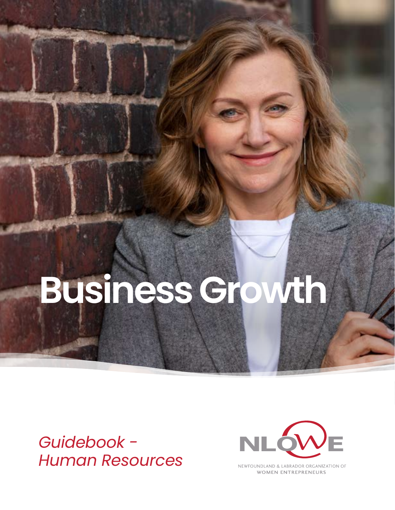# **Business Growth**

*Guidebook - Human Resources*



NEWFOUNDLAND & LABRADOR ORGANIZATION OF **WOMEN ENTREPRENEURS**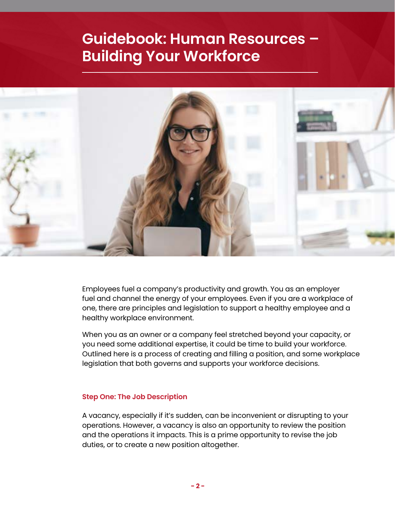# **Guidebook: Human Resources – Building Your Workforce**



Employees fuel a company's productivity and growth. You as an employer fuel and channel the energy of your employees. Even if you are a workplace of one, there are principles and legislation to support a healthy employee and a healthy workplace environment.

When you as an owner or a company feel stretched beyond your capacity, or you need some additional expertise, it could be time to build your workforce. Outlined here is a process of creating and filling a position, and some workplace legislation that both governs and supports your workforce decisions.

#### **Step One: The Job Description**

A vacancy, especially if it's sudden, can be inconvenient or disrupting to your operations. However, a vacancy is also an opportunity to review the position and the operations it impacts. This is a prime opportunity to revise the job duties, or to create a new position altogether.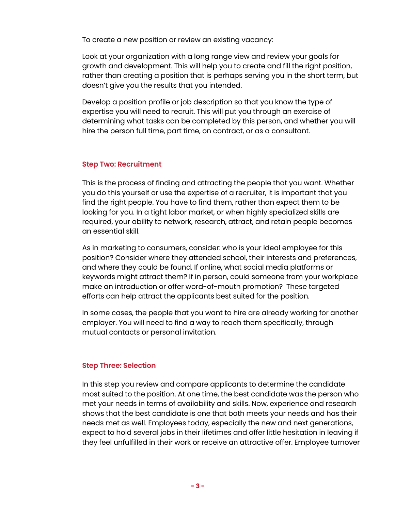To create a new position or review an existing vacancy:

Look at your organization with a long range view and review your goals for growth and development. This will help you to create and fill the right position, rather than creating a position that is perhaps serving you in the short term, but doesn't give you the results that you intended.

Develop a position profile or job description so that you know the type of expertise you will need to recruit. This will put you through an exercise of determining what tasks can be completed by this person, and whether you will hire the person full time, part time, on contract, or as a consultant.

# **Step Two: Recruitment**

This is the process of finding and attracting the people that you want. Whether you do this yourself or use the expertise of a recruiter, it is important that you find the right people. You have to find them, rather than expect them to be looking for you. In a tight labor market, or when highly specialized skills are required, your ability to network, research, attract, and retain people becomes an essential skill.

As in marketing to consumers, consider: who is your ideal employee for this position? Consider where they attended school, their interests and preferences, and where they could be found. If online, what social media platforms or keywords might attract them? If in person, could someone from your workplace make an introduction or offer word-of-mouth promotion? These targeted efforts can help attract the applicants best suited for the position.

In some cases, the people that you want to hire are already working for another employer. You will need to find a way to reach them specifically, through mutual contacts or personal invitation.

#### **Step Three: Selection**

In this step you review and compare applicants to determine the candidate most suited to the position. At one time, the best candidate was the person who met your needs in terms of availability and skills. Now, experience and research shows that the best candidate is one that both meets your needs and has their needs met as well. Employees today, especially the new and next generations, expect to hold several jobs in their lifetimes and offer little hesitation in leaving if they feel unfulfilled in their work or receive an attractive offer. Employee turnover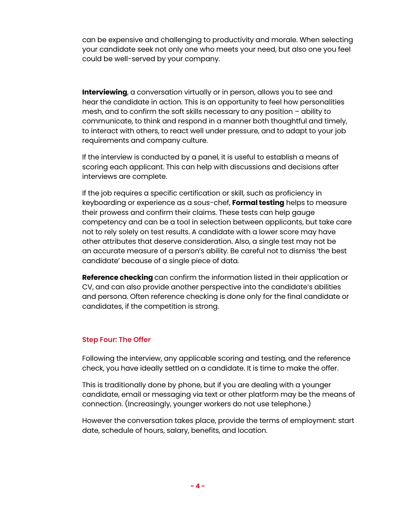can be expensive and challenging to productivity and morale. When selecting your candidate seek not only one who meets your need, but also one you feel could be well-served by your company.

**Interviewing**, a conversation virtually or in person, allows you to see and hear the candidate in action. This is an opportunity to feel how personalities mesh, and to confirm the soft skills necessary to any position – ability to communicate, to think and respond in a manner both thoughtful and timely, to interact with others, to react well under pressure, and to adapt to your job requirements and company culture.

If the interview is conducted by a panel, it is useful to establish a means of scoring each applicant. This can help with discussions and decisions after interviews are complete.

If the job requires a specific certification or skill, such as proficiency in keyboarding or experience as a sous-chef, **Formal testing** helps to measure their prowess and confirm their claims. These tests can help gauge competency and can be a tool in selection between applicants, but take care not to rely solely on test results. A candidate with a lower score may have other attributes that deserve consideration. Also, a single test may not be an accurate measure of a person's ability. Be careful not to dismiss 'the best candidate' because of a single piece of data.

**Reference checking** can confirm the information listed in their application or CV, and can also provide another perspective into the candidate's abilities and persona. Often reference checking is done only for the final candidate or candidates, if the competition is strong.

#### **Step Four: The Offer**

Following the interview, any applicable scoring and testing, and the reference check, you have ideally settled on a candidate. It is time to make the offer.

This is traditionally done by phone, but if you are dealing with a younger candidate, email or messaging via text or other platform may be the means of connection. (Increasingly, younger workers do not use telephone.)

However the conversation takes place, provide the terms of employment: start date, schedule of hours, salary, benefits, and location.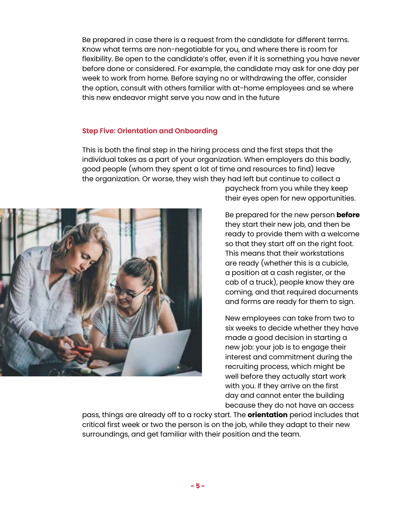Be prepared in case there is a request from the candidate for different terms. Know what terms are non-negotiable for you, and where there is room for flexibility. Be open to the candidate's offer, even if it is something you have never before done or considered. For example, the candidate may ask for one day per week to work from home. Before saying no or withdrawing the offer, consider the option, consult with others familiar with at-home employees and se where this new endeavor might serve you now and in the future

#### **Step Five: Orientation and Onboarding**

This is both the final step in the hiring process and the first steps that the individual takes as a part of your organization. When employers do this badly, good people (whom they spent a lot of time and resources to find) leave the organization. Or worse, they wish they had left but continue to collect a



paycheck from you while they keep their eyes open for new opportunities.

Be prepared for the new person **before** they start their new job, and then be ready to provide them with a welcome so that they start off on the right foot. This means that their workstations are ready (whether this is a cubicle, a position at a cash register, or the cab of a truck), people know they are coming, and that required documents and forms are ready for them to sign.

New employees can take from two to six weeks to decide whether they have made a good decision in starting a new job: your job is to engage their interest and commitment during the recruiting process, which might be well before they actually start work with you. If they arrive on the first day and cannot enter the building because they do not have an access

pass, things are already off to a rocky start. The **orientation** period includes that critical first week or two the person is on the job, while they adapt to their new surroundings, and get familiar with their position and the team.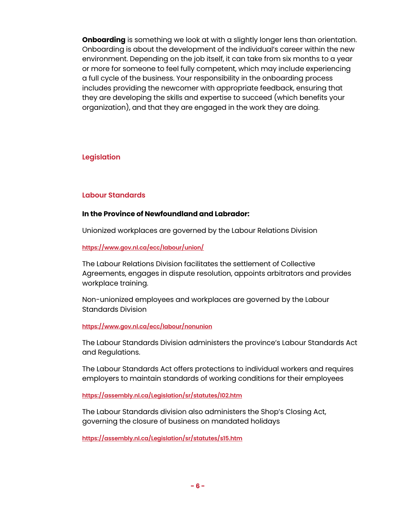**Onboarding** is something we look at with a slightly longer lens than orientation. Onboarding is about the development of the individual's career within the new environment. Depending on the job itself, it can take from six months to a year or more for someone to feel fully competent, which may include experiencing a full cycle of the business. Your responsibility in the onboarding process includes providing the newcomer with appropriate feedback, ensuring that they are developing the skills and expertise to succeed (which benefits your organization), and that they are engaged in the work they are doing.

# **Legislation**

# **Labour Standards**

#### **In the Province of Newfoundland and Labrador:**

Unionized workplaces are governed by the Labour Relations Division

#### **<https://www.gov.nl.ca/ecc/labour/union/>**

The Labour Relations Division facilitates the settlement of Collective Agreements, engages in dispute resolution, appoints arbitrators and provides workplace training.

Non-unionized employees and workplaces are governed by the Labour Standards Division

#### **<https://www.gov.nl.ca/ecc/labour/nonunion>**

The Labour Standards Division administers the province's Labour Standards Act and Regulations.

The Labour Standards Act offers protections to individual workers and requires employers to maintain standards of working conditions for their employees

**<https://assembly.nl.ca/Legislation/sr/statutes/l02.htm>**

The Labour Standards division also administers the Shop's Closing Act, governing the closure of business on mandated holidays

**<https://assembly.nl.ca/Legislation/sr/statutes/s15.htm>**